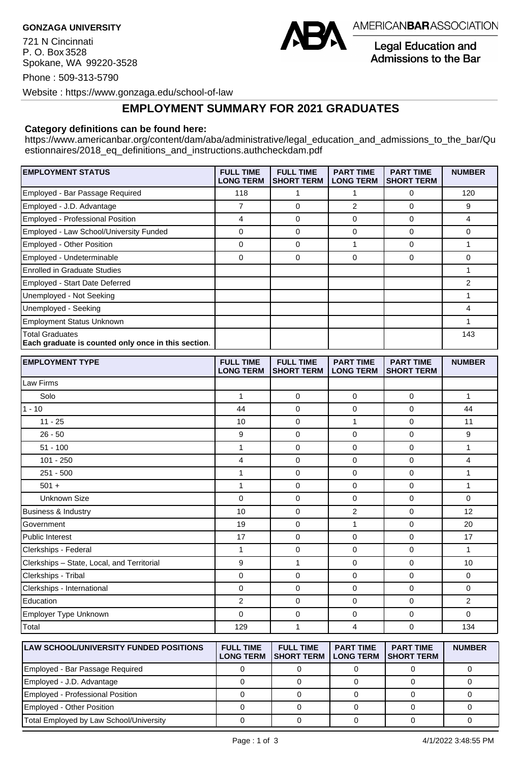721 N Cincinnati P. O. Box 3528 Spokane, WA 99220-3528



AMERICANBARASSOCIATION

**Legal Education and** Admissions to the Bar

Phone : 509-313-5790

Website : https://www.gonzaga.edu/school-of-law

## **EMPLOYMENT SUMMARY FOR 2021 GRADUATES**

## **Category definitions can be found here:**

https://www.americanbar.org/content/dam/aba/administrative/legal\_education\_and\_admissions\_to\_the\_bar/Qu estionnaires/2018\_eq\_definitions\_and\_instructions.authcheckdam.pdf

| <b>EMPLOYMENT STATUS</b>                                               | <b>FULL TIME</b><br><b>LONG TERM</b> | <b>FULL TIME</b><br><b>SHORT TERM</b> | <b>PART TIME</b><br><b>LONG TERM</b> | <b>PART TIME</b><br><b>SHORT TERM</b> | <b>NUMBER</b> |
|------------------------------------------------------------------------|--------------------------------------|---------------------------------------|--------------------------------------|---------------------------------------|---------------|
| Employed - Bar Passage Required                                        | 118                                  |                                       |                                      | 0                                     | 120           |
| Employed - J.D. Advantage                                              | 7                                    | 0                                     | $\overline{2}$                       | $\Omega$                              | 9             |
| <b>Employed - Professional Position</b>                                | 4                                    | 0                                     | $\Omega$                             | 0                                     | 4             |
| Employed - Law School/University Funded                                | 0                                    | 0                                     | $\Omega$                             | $\Omega$                              | 0             |
| Employed - Other Position                                              | 0                                    | 0                                     |                                      | 0                                     |               |
| Employed - Undeterminable                                              | 0                                    | 0                                     | 0                                    | $\Omega$                              | 0             |
| <b>Enrolled in Graduate Studies</b>                                    |                                      |                                       |                                      |                                       |               |
| Employed - Start Date Deferred                                         |                                      |                                       |                                      |                                       | 2             |
| Unemployed - Not Seeking                                               |                                      |                                       |                                      |                                       |               |
| Unemployed - Seeking                                                   |                                      |                                       |                                      |                                       |               |
| <b>Employment Status Unknown</b>                                       |                                      |                                       |                                      |                                       |               |
| Total Graduates<br>Each graduate is counted only once in this section. |                                      |                                       |                                      |                                       | 143           |

| <b>EMPLOYMENT TYPE</b>                     | <b>FULL TIME</b><br><b>LONG TERM</b> | <b>FULL TIME</b><br><b>SHORT TERM</b> | <b>PART TIME</b><br><b>LONG TERM</b> | <b>PART TIME</b><br><b>SHORT TERM</b> | <b>NUMBER</b>  |
|--------------------------------------------|--------------------------------------|---------------------------------------|--------------------------------------|---------------------------------------|----------------|
| Law Firms                                  |                                      |                                       |                                      |                                       |                |
| Solo                                       | $\mathbf{1}$                         | $\mathbf 0$                           | 0                                    | $\mathbf 0$                           | $\mathbf{1}$   |
| 1 - 10                                     | 44                                   | $\mathbf 0$                           | $\mathbf 0$                          | $\mathbf 0$                           | 44             |
| $11 - 25$                                  | 10                                   | $\mathbf 0$                           | 1                                    | $\mathbf 0$                           | 11             |
| $26 - 50$                                  | 9                                    | $\mathbf 0$                           | $\mathbf 0$                          | 0                                     | 9              |
| $51 - 100$                                 | $\mathbf{1}$                         | $\mathbf 0$                           | $\mathbf 0$                          | $\mathbf 0$                           | $\mathbf{1}$   |
| $101 - 250$                                | 4                                    | $\mathbf 0$                           | $\mathbf 0$                          | $\mathbf 0$                           | $\overline{4}$ |
| $251 - 500$                                | $\mathbf{1}$                         | $\mathbf 0$                           | 0                                    | $\mathbf 0$                           | 1              |
| $501 +$                                    | $\mathbf{1}$                         | $\mathbf 0$                           | $\mathbf 0$                          | $\Omega$                              | $\mathbf{1}$   |
| <b>Unknown Size</b>                        | 0                                    | $\mathbf 0$                           | $\mathbf 0$                          | $\mathbf 0$                           | $\mathbf 0$    |
| <b>Business &amp; Industry</b>             | 10                                   | $\mathbf 0$                           | $\overline{2}$                       | $\mathbf 0$                           | 12             |
| Government                                 | 19                                   | $\mathbf 0$                           | 1                                    | 0                                     | 20             |
| Public Interest                            | 17                                   | $\mathbf 0$                           | $\mathbf 0$                          | $\mathbf 0$                           | 17             |
| Clerkships - Federal                       | 1                                    | $\mathbf 0$                           | $\mathbf 0$                          | $\mathbf 0$                           | 1              |
| Clerkships - State, Local, and Territorial | 9                                    | 1                                     | $\mathbf 0$                          | $\mathbf 0$                           | 10             |
| Clerkships - Tribal                        | 0                                    | $\mathbf 0$                           | $\mathbf 0$                          | $\mathbf 0$                           | $\mathbf 0$    |
| Clerkships - International                 | 0                                    | 0                                     | $\mathbf 0$                          | 0                                     | $\mathbf 0$    |
| Education                                  | $\overline{2}$                       | $\mathbf 0$                           | $\mathbf 0$                          | $\Omega$                              | $\overline{2}$ |
| Employer Type Unknown                      | 0                                    | $\mathbf 0$                           | $\mathbf 0$                          | 0                                     | $\mathbf 0$    |
| Total                                      | 129                                  | 1                                     | 4                                    | 0                                     | 134            |

| <b>ILAW SCHOOL/UNIVERSITY FUNDED POSITIONS</b> | <b>FULL TIME</b><br><b>LONG TERM</b> | <b>FULL TIME</b><br><b>ISHORT TERM</b> | <b>PART TIME</b><br><b>LONG TERM</b> | <b>PART TIME</b><br><b>ISHORT TERM</b> | <b>NUMBER</b> |
|------------------------------------------------|--------------------------------------|----------------------------------------|--------------------------------------|----------------------------------------|---------------|
| Employed - Bar Passage Required                |                                      |                                        |                                      |                                        |               |
| Employed - J.D. Advantage                      |                                      |                                        |                                      |                                        |               |
| Employed - Professional Position               |                                      |                                        |                                      |                                        |               |
| Employed - Other Position                      |                                      |                                        |                                      |                                        |               |
| Total Employed by Law School/University        |                                      |                                        |                                      |                                        |               |